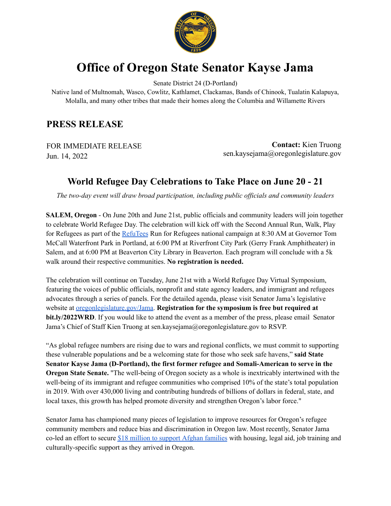

## **Office of Oregon State Senator Kayse Jama**

Senate District 24 (D-Portland)

Native land of Multnomah, Wasco, Cowlitz, Kathlamet, Clackamas, Bands of Chinook, Tualatin Kalapuya, Molalla, and many other tribes that made their homes along the Columbia and Willamette Rivers

## **PRESS RELEASE**

FOR IMMEDIATE RELEASE Jun. 14, 2022

**Contact:** Kien Truong sen.kaysejama@oregonlegislature.gov

## **World Refugee Day Celebrations to Take Place on June 20 - 21**

*The two-day event will draw broad participation, including public of icials and community leaders*

**SALEM, Oregon** - On June 20th and June 21st, public officials and community leaders will join together to celebrate World Refugee Day. The celebration will kick off with the Second Annual Run, Walk, Play for Refugees as part of the [RefuTees](https://refutees.com/pages/runforrefugees) Run for Refugees national campaign at 8:30 AM at Governor Tom McCall Waterfront Park in Portland, at 6:00 PM at Riverfront City Park (Gerry Frank Amphitheater) in Salem, and at 6:00 PM at Beaverton City Library in Beaverton. Each program will conclude with a 5k walk around their respective communities. **No registration is needed.**

The celebration will continue on Tuesday, June 21st with a World Refugee Day Virtual Symposium, featuring the voices of public officials, nonprofit and state agency leaders, and immigrant and refugees advocates through a series of panels. For the detailed agenda, please visit Senator Jama's legislative website at [oregonlegislature.gov/Jama](https://www.oregonlegislature.gov/Jama). **Registration for the symposium is free but required at bit.ly/2022WRD**. If you would like to attend the event as a member of the press, please email Senator Jama's Chief of Staff Kien Truong at sen.kaysejama@oregonlegislature.gov to RSVP.

"As global refugee numbers are rising due to wars and regional conflicts, we must commit to supporting these vulnerable populations and be a welcoming state for those who seek safe havens," **said State Senator Kayse Jama (D-Portland), the first former refugee and Somali-American to serve in the Oregon State Senate.** "The well-being of Oregon society as a whole is inextricably intertwined with the well-being of its immigrant and refugee communities who comprised 10% of the state's total population in 2019. With over 430,000 living and contributing hundreds of billions of dollars in federal, state, and local taxes, this growth has helped promote diversity and strengthen Oregon's labor force."

Senator Jama has championed many pieces of legislation to improve resources for Oregon's refugee community members and reduce bias and discrimination in Oregon law. Most recently, Senator Jama co-led an effort to secure \$18 million to support Afghan [families](https://www.oregonlegislature.gov/Jama/Documents/FACTSHEET_%20A%20Funding%20Package%20to%20Welcome%201,200%20Afghan%20Arrivals%20in%20Oregon.pdf) with housing, legal aid, job training and culturally-specific support as they arrived in Oregon.